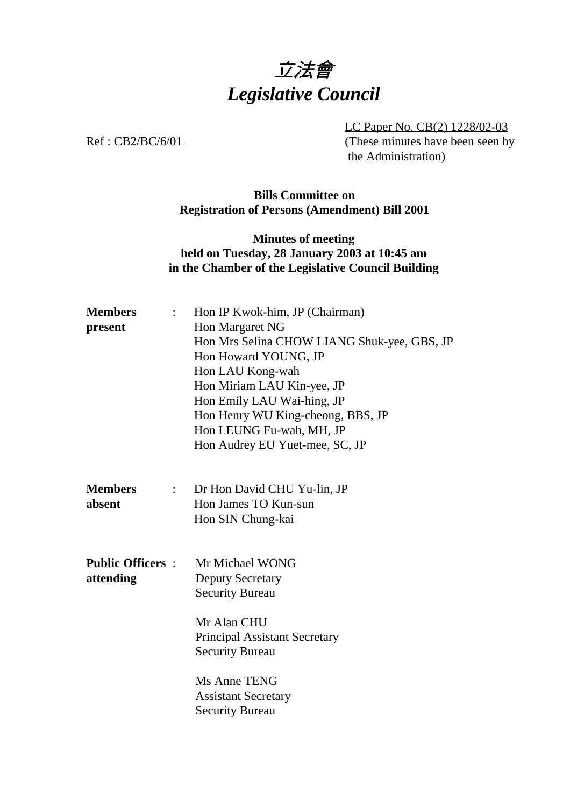# 立法會 *Legislative Council*

LC Paper No. CB(2) 1228/02-03 Ref : CB2/BC/6/01 (These minutes have been seen by the Administration)

#### **Bills Committee on Registration of Persons (Amendment) Bill 2001**

### **Minutes of meeting held on Tuesday, 28 January 2003 at 10:45 am in the Chamber of the Legislative Council Building**

| <b>Members</b><br>$\mathbb{R}^{\mathbb{Z}}$<br>present         | Hon IP Kwok-him, JP (Chairman)<br>Hon Margaret NG<br>Hon Mrs Selina CHOW LIANG Shuk-yee, GBS, JP<br>Hon Howard YOUNG, JP<br>Hon LAU Kong-wah<br>Hon Miriam LAU Kin-yee, JP<br>Hon Emily LAU Wai-hing, JP<br>Hon Henry WU King-cheong, BBS, JP<br>Hon LEUNG Fu-wah, MH, JP |
|----------------------------------------------------------------|---------------------------------------------------------------------------------------------------------------------------------------------------------------------------------------------------------------------------------------------------------------------------|
|                                                                | Hon Audrey EU Yuet-mee, SC, JP                                                                                                                                                                                                                                            |
| <b>Members</b><br>$\mathbb{Z}^{\mathbb{Z}^{\times}}$<br>absent | Dr Hon David CHU Yu-lin, JP<br>Hon James TO Kun-sun<br>Hon SIN Chung-kai                                                                                                                                                                                                  |
| <b>Public Officers :</b><br>attending                          | Mr Michael WONG<br><b>Deputy Secretary</b><br><b>Security Bureau</b><br>Mr Alan CHU<br><b>Principal Assistant Secretary</b><br><b>Security Bureau</b>                                                                                                                     |
|                                                                | Ms Anne TENG<br><b>Assistant Secretary</b><br><b>Security Bureau</b>                                                                                                                                                                                                      |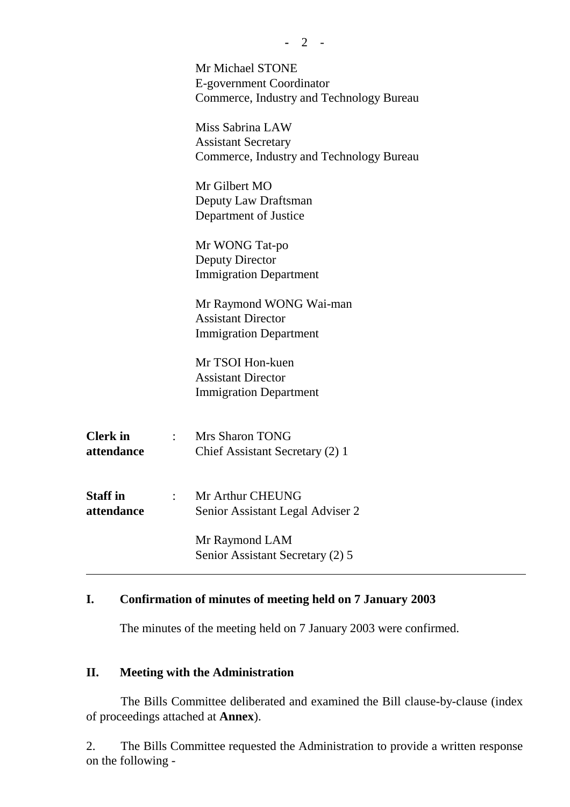|                               | Mr Michael STONE<br>E-government Coordinator<br>Commerce, Industry and Technology Bureau   |
|-------------------------------|--------------------------------------------------------------------------------------------|
|                               | Miss Sabrina LAW<br><b>Assistant Secretary</b><br>Commerce, Industry and Technology Bureau |
|                               | Mr Gilbert MO<br>Deputy Law Draftsman<br>Department of Justice                             |
|                               | Mr WONG Tat-po<br><b>Deputy Director</b><br><b>Immigration Department</b>                  |
|                               | Mr Raymond WONG Wai-man<br><b>Assistant Director</b><br><b>Immigration Department</b>      |
|                               | Mr TSOI Hon-kuen<br><b>Assistant Director</b><br><b>Immigration Department</b>             |
| <b>Clerk</b> in<br>attendance | <b>Mrs Sharon TONG</b><br>Chief Assistant Secretary (2) 1                                  |
| <b>Staff</b> in<br>attendance | Mr Arthur CHEUNG<br>Senior Assistant Legal Adviser 2                                       |
|                               | Mr Raymond LAM<br>Senior Assistant Secretary (2) 5                                         |

## **I. Confirmation of minutes of meeting held on 7 January 2003**

The minutes of the meeting held on 7 January 2003 were confirmed.

#### **II. Meeting with the Administration**

The Bills Committee deliberated and examined the Bill clause-by-clause (index of proceedings attached at **Annex**).

2. The Bills Committee requested the Administration to provide a written response on the following -

**-** 2 -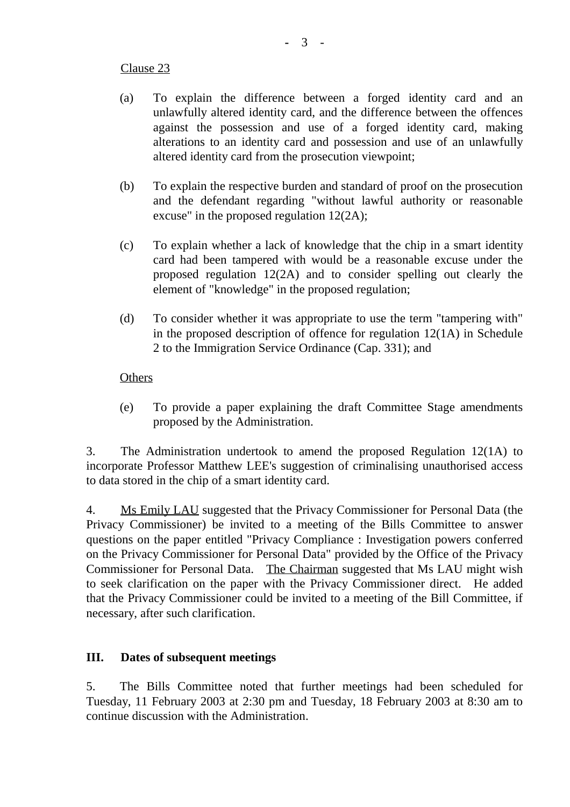#### Clause 23

- (a) To explain the difference between a forged identity card and an unlawfully altered identity card, and the difference between the offences against the possession and use of a forged identity card, making alterations to an identity card and possession and use of an unlawfully altered identity card from the prosecution viewpoint;
- (b) To explain the respective burden and standard of proof on the prosecution and the defendant regarding "without lawful authority or reasonable excuse" in the proposed regulation 12(2A);
- (c) To explain whether a lack of knowledge that the chip in a smart identity card had been tampered with would be a reasonable excuse under the proposed regulation 12(2A) and to consider spelling out clearly the element of "knowledge" in the proposed regulation;
- (d) To consider whether it was appropriate to use the term "tampering with" in the proposed description of offence for regulation 12(1A) in Schedule 2 to the Immigration Service Ordinance (Cap. 331); and

#### **Others**

(e) To provide a paper explaining the draft Committee Stage amendments proposed by the Administration.

3. The Administration undertook to amend the proposed Regulation 12(1A) to incorporate Professor Matthew LEE's suggestion of criminalising unauthorised access to data stored in the chip of a smart identity card.

4. Ms Emily LAU suggested that the Privacy Commissioner for Personal Data (the Privacy Commissioner) be invited to a meeting of the Bills Committee to answer questions on the paper entitled "Privacy Compliance : Investigation powers conferred on the Privacy Commissioner for Personal Data" provided by the Office of the Privacy Commissioner for Personal Data. The Chairman suggested that Ms LAU might wish to seek clarification on the paper with the Privacy Commissioner direct. He added that the Privacy Commissioner could be invited to a meeting of the Bill Committee, if necessary, after such clarification.

#### **III. Dates of subsequent meetings**

5. The Bills Committee noted that further meetings had been scheduled for Tuesday, 11 February 2003 at 2:30 pm and Tuesday, 18 February 2003 at 8:30 am to continue discussion with the Administration.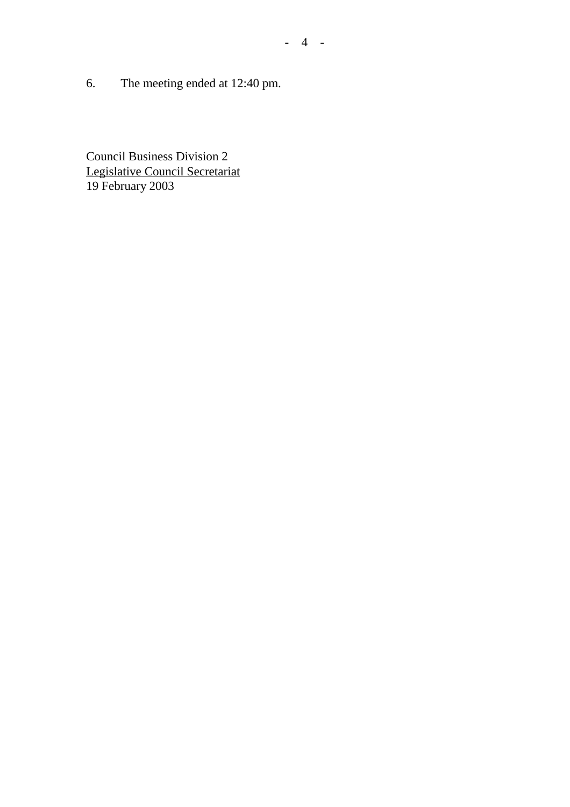6. The meeting ended at 12:40 pm.

Council Business Division 2 Legislative Council Secretariat 19 February 2003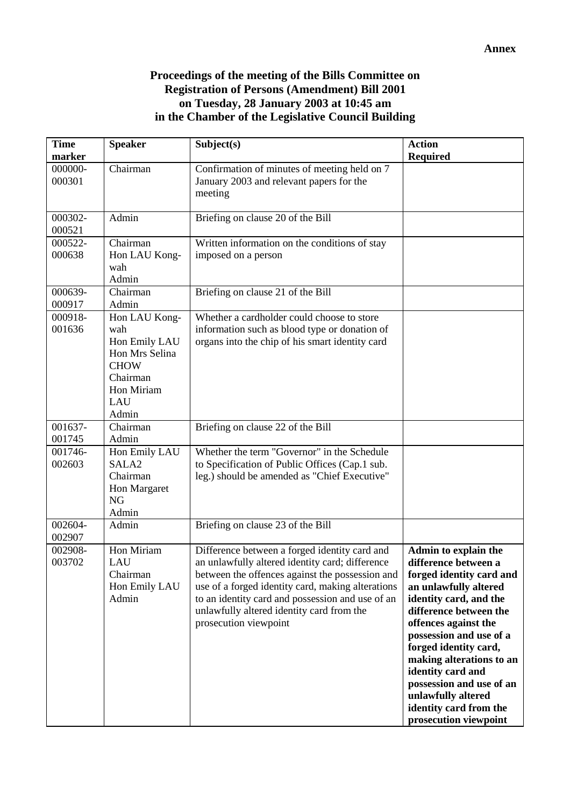#### **Proceedings of the meeting of the Bills Committee on Registration of Persons (Amendment) Bill 2001 on Tuesday, 28 January 2003 at 10:45 am in the Chamber of the Legislative Council Building**

| <b>Time</b><br>marker | <b>Speaker</b>                                                                                                   | Subject(s)                                                                                                                                                                                                                                                                                                                         | <b>Action</b><br><b>Required</b>                                                                                                                                                                                                                                                                                                                                                        |
|-----------------------|------------------------------------------------------------------------------------------------------------------|------------------------------------------------------------------------------------------------------------------------------------------------------------------------------------------------------------------------------------------------------------------------------------------------------------------------------------|-----------------------------------------------------------------------------------------------------------------------------------------------------------------------------------------------------------------------------------------------------------------------------------------------------------------------------------------------------------------------------------------|
| 000000-<br>000301     | Chairman                                                                                                         | Confirmation of minutes of meeting held on 7<br>January 2003 and relevant papers for the<br>meeting                                                                                                                                                                                                                                |                                                                                                                                                                                                                                                                                                                                                                                         |
| 000302-<br>000521     | Admin                                                                                                            | Briefing on clause 20 of the Bill                                                                                                                                                                                                                                                                                                  |                                                                                                                                                                                                                                                                                                                                                                                         |
| 000522-<br>000638     | Chairman<br>Hon LAU Kong-<br>wah<br>Admin                                                                        | Written information on the conditions of stay<br>imposed on a person                                                                                                                                                                                                                                                               |                                                                                                                                                                                                                                                                                                                                                                                         |
| 000639-<br>000917     | Chairman<br>Admin                                                                                                | Briefing on clause 21 of the Bill                                                                                                                                                                                                                                                                                                  |                                                                                                                                                                                                                                                                                                                                                                                         |
| 000918-<br>001636     | Hon LAU Kong-<br>wah<br>Hon Emily LAU<br>Hon Mrs Selina<br><b>CHOW</b><br>Chairman<br>Hon Miriam<br>LAU<br>Admin | Whether a cardholder could choose to store<br>information such as blood type or donation of<br>organs into the chip of his smart identity card                                                                                                                                                                                     |                                                                                                                                                                                                                                                                                                                                                                                         |
| 001637-<br>001745     | Chairman<br>Admin                                                                                                | Briefing on clause 22 of the Bill                                                                                                                                                                                                                                                                                                  |                                                                                                                                                                                                                                                                                                                                                                                         |
| 001746-<br>002603     | Hon Emily LAU<br>SALA <sub>2</sub><br>Chairman<br>Hon Margaret<br><b>NG</b><br>Admin                             | Whether the term "Governor" in the Schedule<br>to Specification of Public Offices (Cap.1 sub.<br>leg.) should be amended as "Chief Executive"                                                                                                                                                                                      |                                                                                                                                                                                                                                                                                                                                                                                         |
| 002604-<br>002907     | Admin                                                                                                            | Briefing on clause 23 of the Bill                                                                                                                                                                                                                                                                                                  |                                                                                                                                                                                                                                                                                                                                                                                         |
| 002908-<br>003702     | Hon Miriam<br>LAU<br>Chairman<br>Hon Emily LAU<br>Admin                                                          | Difference between a forged identity card and<br>an unlawfully altered identity card; difference<br>between the offences against the possession and<br>use of a forged identity card, making alterations<br>to an identity card and possession and use of an<br>unlawfully altered identity card from the<br>prosecution viewpoint | Admin to explain the<br>difference between a<br>forged identity card and<br>an unlawfully altered<br>identity card, and the<br>difference between the<br>offences against the<br>possession and use of a<br>forged identity card,<br>making alterations to an<br>identity card and<br>possession and use of an<br>unlawfully altered<br>identity card from the<br>prosecution viewpoint |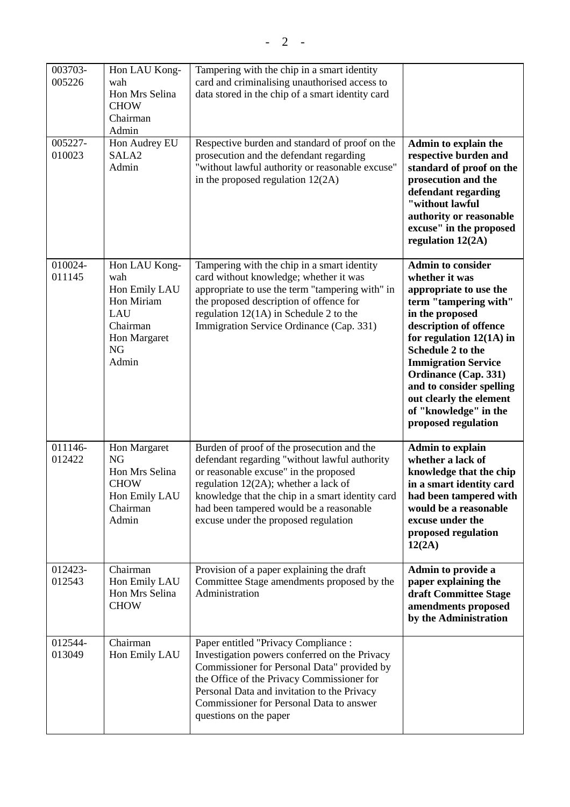| 003703-<br>005226 | Hon LAU Kong-<br>wah<br>Hon Mrs Selina<br><b>CHOW</b><br>Chairman<br>Admin                                   | Tampering with the chip in a smart identity<br>card and criminalising unauthorised access to<br>data stored in the chip of a smart identity card                                                                                                                                                                       |                                                                                                                                                                                                                                                                                                                                                                   |
|-------------------|--------------------------------------------------------------------------------------------------------------|------------------------------------------------------------------------------------------------------------------------------------------------------------------------------------------------------------------------------------------------------------------------------------------------------------------------|-------------------------------------------------------------------------------------------------------------------------------------------------------------------------------------------------------------------------------------------------------------------------------------------------------------------------------------------------------------------|
| 005227-<br>010023 | Hon Audrey EU<br>SALA <sub>2</sub><br>Admin                                                                  | Respective burden and standard of proof on the<br>prosecution and the defendant regarding<br>"without lawful authority or reasonable excuse"<br>in the proposed regulation $12(2A)$                                                                                                                                    | Admin to explain the<br>respective burden and<br>standard of proof on the<br>prosecution and the<br>defendant regarding<br>"without lawful<br>authority or reasonable<br>excuse" in the proposed<br>regulation 12(2A)                                                                                                                                             |
| 010024-<br>011145 | Hon LAU Kong-<br>wah<br>Hon Emily LAU<br>Hon Miriam<br>LAU<br>Chairman<br>Hon Margaret<br><b>NG</b><br>Admin | Tampering with the chip in a smart identity<br>card without knowledge; whether it was<br>appropriate to use the term "tampering with" in<br>the proposed description of offence for<br>regulation $12(1A)$ in Schedule 2 to the<br>Immigration Service Ordinance (Cap. 331)                                            | <b>Admin to consider</b><br>whether it was<br>appropriate to use the<br>term "tampering with"<br>in the proposed<br>description of offence<br>for regulation $12(1A)$ in<br>Schedule 2 to the<br><b>Immigration Service</b><br><b>Ordinance (Cap. 331)</b><br>and to consider spelling<br>out clearly the element<br>of "knowledge" in the<br>proposed regulation |
| 011146-<br>012422 | Hon Margaret<br><b>NG</b><br>Hon Mrs Selina<br><b>CHOW</b><br>Hon Emily LAU<br>Chairman<br>Admin             | Burden of proof of the prosecution and the<br>defendant regarding "without lawful authority<br>or reasonable excuse" in the proposed<br>regulation $12(2A)$ ; whether a lack of<br>knowledge that the chip in a smart identity card<br>had been tampered would be a reasonable<br>excuse under the proposed regulation | <b>Admin to explain</b><br>whether a lack of<br>knowledge that the chip<br>in a smart identity card<br>had been tampered with<br>would be a reasonable<br>excuse under the<br>proposed regulation<br>12(2A)                                                                                                                                                       |
| 012423-<br>012543 | Chairman<br>Hon Emily LAU<br>Hon Mrs Selina<br><b>CHOW</b>                                                   | Provision of a paper explaining the draft<br>Committee Stage amendments proposed by the<br>Administration                                                                                                                                                                                                              | Admin to provide a<br>paper explaining the<br>draft Committee Stage<br>amendments proposed<br>by the Administration                                                                                                                                                                                                                                               |
| 012544-<br>013049 | Chairman<br>Hon Emily LAU                                                                                    | Paper entitled "Privacy Compliance :<br>Investigation powers conferred on the Privacy<br>Commissioner for Personal Data" provided by<br>the Office of the Privacy Commissioner for<br>Personal Data and invitation to the Privacy<br>Commissioner for Personal Data to answer<br>questions on the paper                |                                                                                                                                                                                                                                                                                                                                                                   |